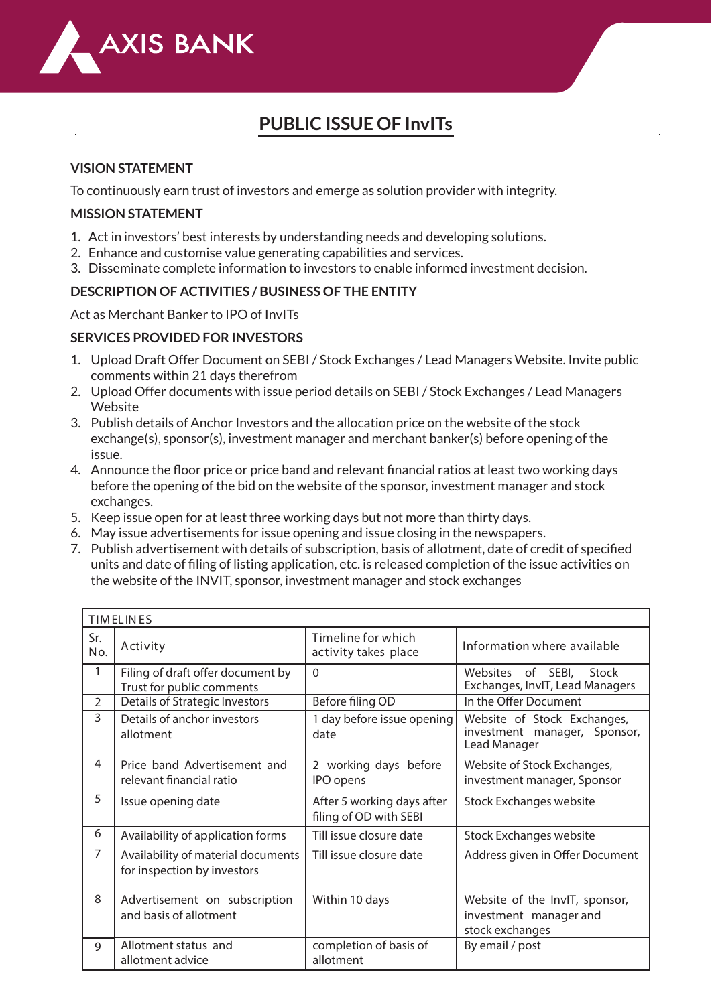

# **PUBLIC ISSUE OF InvITs**

### **VISION STATEMENT**

To continuously earn trust of investors and emerge as solution provider with integrity.

### **MISSION STATEMENT**

- 1. Act in investors' best interests by understanding needs and developing solutions.
- 2. Enhance and customise value generating capabilities and services.
- 3. Disseminate complete information to investors to enable informed investment decision.

### **DESCRIPTION OF ACTIVITIES / BUSINESS OF THE ENTITY**

Act as Merchant Banker to IPO of InvITs

### **SERVICES PROVIDED FOR INVESTORS**

- 1. Upload Draft Offer Document on SEBI / Stock Exchanges / Lead Managers Website. Invite public comments within 21 days therefrom
- 2. Upload Offer documents with issue period details on SEBI / Stock Exchanges / Lead Managers Website
- 3. Publish details of Anchor Investors and the allocation price on the website of the stock exchange(s), sponsor(s), investment manager and merchant banker(s) before opening of the issue.
- 4. Announce the floor price or price band and relevant financial ratios at least two working days before the opening of the bid on the website of the sponsor, investment manager and stock exchanges.
- 5. Keep issue open for at least three working days but not more than thirty days.
- 6. May issue advertisements for issue opening and issue closing in the newspapers.
- 7. Publish advertisement with details of subscription, basis of allotment, date of credit of specified units and date of filing of listing application, etc. is released completion of the issue activities on the website of the INVIT, sponsor, investment manager and stock exchanges

| <b>TIMELINES</b> |                                                                   |                                                      |                                                                             |  |  |  |
|------------------|-------------------------------------------------------------------|------------------------------------------------------|-----------------------------------------------------------------------------|--|--|--|
| Sr.<br>No.       | Activity                                                          | Timeline for which<br>activity takes place           | Information where available                                                 |  |  |  |
| 1                | Filing of draft offer document by<br>Trust for public comments    | $\Omega$                                             | Websites of SEBI, Stock<br>Exchanges, InvIT, Lead Managers                  |  |  |  |
| $\overline{2}$   | Details of Strategic Investors                                    | Before filing OD                                     | In the Offer Document                                                       |  |  |  |
| 3                | Details of anchor investors<br>allotment                          | 1 day before issue opening<br>date                   | Website of Stock Exchanges,<br>investment manager, Sponsor,<br>Lead Manager |  |  |  |
| 4                | Price band Advertisement and<br>relevant financial ratio          | 2 working days before<br>IPO opens                   | Website of Stock Exchanges,<br>investment manager, Sponsor                  |  |  |  |
| 5                | Issue opening date                                                | After 5 working days after<br>filing of OD with SEBI | <b>Stock Exchanges website</b>                                              |  |  |  |
| 6                | Availability of application forms                                 | Till issue closure date                              | <b>Stock Exchanges website</b>                                              |  |  |  |
| 7                | Availability of material documents<br>for inspection by investors | Till issue closure date                              | Address given in Offer Document                                             |  |  |  |
| 8                | Advertisement on subscription<br>and basis of allotment           | Within 10 days                                       | Website of the InvIT, sponsor,<br>investment manager and<br>stock exchanges |  |  |  |
| 9                | Allotment status and<br>allotment advice                          | completion of basis of<br>allotment                  | By email / post                                                             |  |  |  |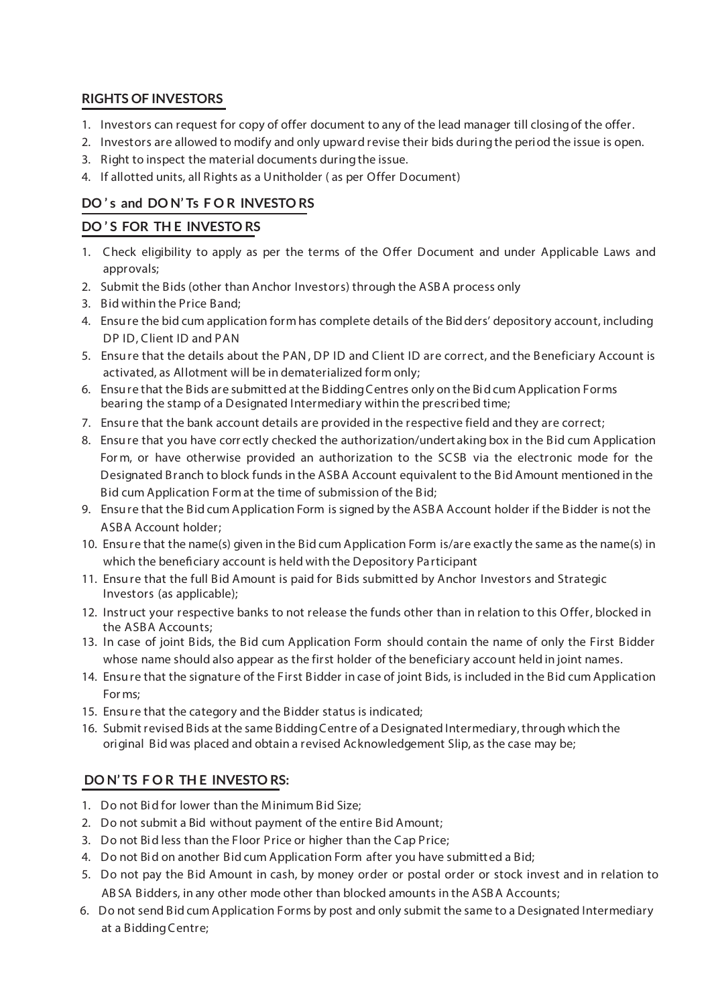### **RIGHTS OF INVESTORS**

- 1. Investors can request for copy of offer document to any of the lead manager till closingof the offer.
- 2. Investors are allowed to modify and only upward revise their bids duringthe period the issue is open.
- 3. Right to inspect the material documents during the issue.
- 4. If allotted units, all Rights as a Unitholder ( as per Offer Document)

# **DO ' s and DO N' Ts F O R INVESTO RS**

### **DO ' S FOR TH E INVESTO RS**

- 1. Check eligibility to apply as per the terms of the Offer Document and under Applicable Laws and approvals;
- 2. Submit the Bids (other than Anchor Investors) through the ASBA process only
- 3. Bid within the Price Band;
- 4. Ensure the bid cum application form has complete details of the Bidders' depository account, including DP ID, Client ID and PAN
- 5. Ensure that the details about the PAN, DP ID and Client ID are correct, and the Beneficiary Account is activated, as Allotment will be in dematerialized form only;
- 6. Ensure that the Bids are submitted at the BiddingCentres only on the Bid cum Application Forms bearing the stamp of a Designated Intermediary within the prescribed time;
- 7. Ensure that the bank account details are provided in the respective field and they are correct;
- 8. Ensure that you have corr ectly checked the authorization/undert aking box in the Bid cum Application For m, or have otherwise provided an authorization to the SCSB via the electronic mode for the Designated Branch to block funds in the ASBA Account equivalent to the Bid Amount mentioned in the Bid cum Application Form at the time of submission of the Bid;
- 9. Ensure that the Bid cum Application Form is signed by the ASBA Account holder if the Bidder is not the ASBA Account holder;
- 10. Ensure that the name(s) given in the Bid cum Application Form is/are exactly the same as the name(s) in which the beneficiary account is held with the Depository Participant
- 11. Ensure that the full Bid Amount is paid for Bids submitted by Anchor Investors and Strategic Investors (as applicable);
- 12. Instruct your respective banks to not release the funds other than in relation to this Offer, blocked in the ASBA Accounts;
- 13. In case of joint Bids, the Bid cum Application Form should contain the name of only the First Bidder whose name should also appear as the first holder of the beneficiary account held in joint names.
- 14. Ensure that the signature of the First Bidder in case of joint Bids, is included in the Bid cum Application For ms;
- 15. Ensure that the category and the Bidder status is indicated;
- 16. Submit revised Bids at the same BiddingCentre of a Designated Intermediary,through which the original Bid was placed and obtain a revised Acknowledgement Slip, as the case may be;

# **DO N' TS F O R TH E INVESTO RS:**

- 1. Do not Bid for lower than the Minimum Bid Size;
- 2. Do not submit a Bid without payment of the entire Bid Amount;
- 3. Do not Bid less than the Floor Price or higher than the Cap Price;
- 4. Do not Bid on another Bid cum Application Form after you have submitted a Bid;
- 5. Do not pay the Bid Amount in cash, by money order or postal order or stock invest and in relation to AB SA Bidders, in any other mode other than blocked amounts in the ASBA Accounts;
- 6. Do not send Bid cum Application Forms by post and only submit the same to a Designated Intermediary at a Bidding Centre;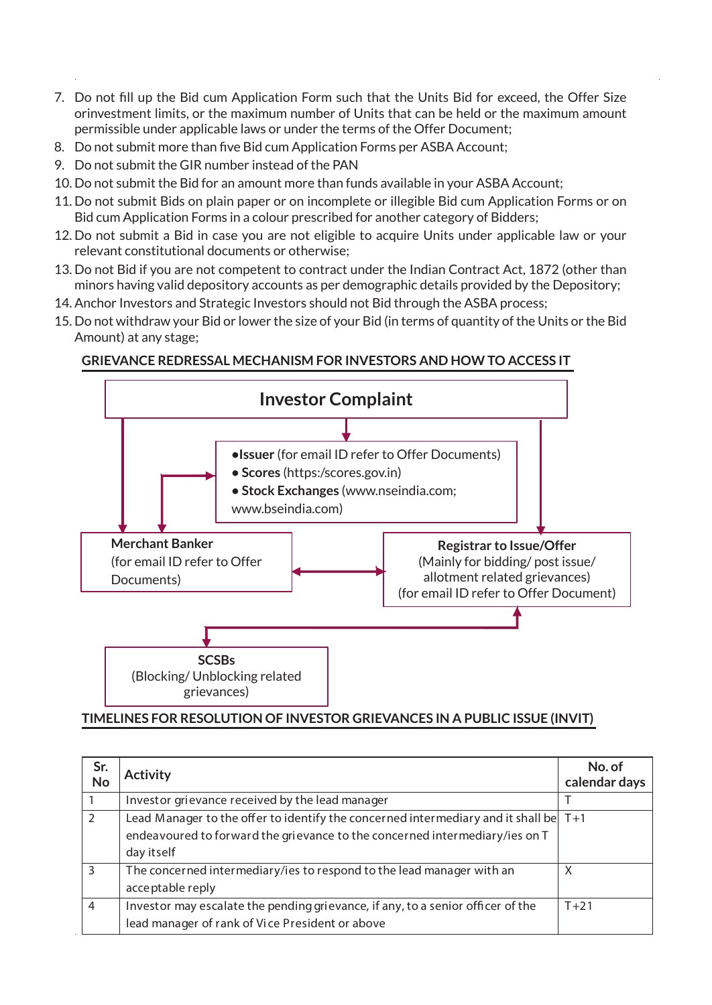- 7. Do not fill up the Bid cum Application Form such that the Units Bid for exceed, the Offer Size orinvestment limits, or the maximum number of Units that can be held or the maximum amount permissible under applicable laws or under the terms of the Offer Document;
- 8. Do not submit more than five Bid cum Application Forms per ASBA Account;
- 9. Do not submit the GIR number instead of the PAN
- 10. Do not submit the Bid for an amount more than funds available in your ASBA Account;
- 11. Do not submit Bids on plain paper or on incomplete or illegible Bid cum Application Forms or on Bid cum Application Forms in a colour prescribed for another category of Bidders;
- 12. Do not submit a Bid in case you are not eligible to acquire Units under applicable law or your relevant constitutional documents or otherwise;
- 13. Do not Bid if you are not competent to contract under the Indian Contract Act, 1872 (other than minors having valid depository accounts as per demographic details provided by the Depository;
- 14. Anchor Investors and Strategic Investors should not Bid through the ASBA process;
- 15. Do not withdraw your Bid or lower the size of your Bid (in terms of quantity of the Units or the Bid Amount) at any stage;

# **GRIEVANCE REDRESSAL MECHANISM FOR INVESTORS AND HOW TO ACCESS IT**



## **TIMELINES FOR RESOLUTION OF INVESTOR GRIEVANCES IN A PUBLIC ISSUE (INVIT)**

| Sr.<br>No      | <b>Activity</b>                                                                        | No. of<br>calendar days |
|----------------|----------------------------------------------------------------------------------------|-------------------------|
|                | Investor grievance received by the lead manager                                        |                         |
|                | Lead Manager to the offer to identify the concerned intermediary and it shall be $T+1$ |                         |
|                | endeavoured to forward the grievance to the concerned intermediary/ies on T            |                         |
|                | day itself                                                                             |                         |
| З              | The concerned intermediary/ies to respond to the lead manager with an                  | X                       |
|                | acceptable reply                                                                       |                         |
| $\overline{4}$ | Investor may escalate the pending grievance, if any, to a senior officer of the        | $T+21$                  |
|                | lead manager of rank of Vice President or above                                        |                         |